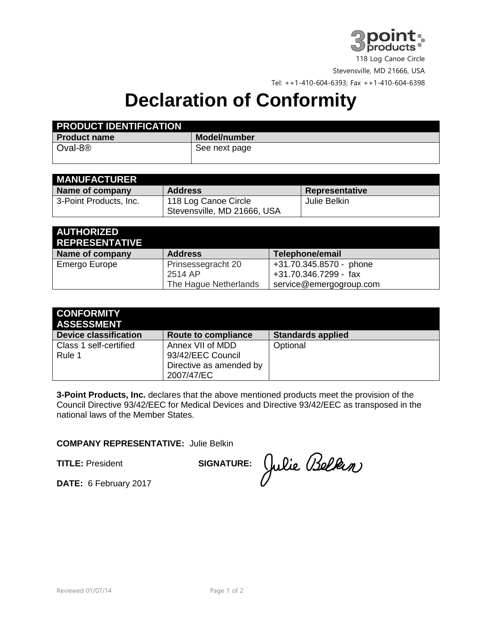

118 Log Canoe Circle

Stevensville, MD 21666, USA

Tel: ++1-410-604-6393; Fax ++1-410-604-6398

## **Declaration of Conformity**

| <b>PRODUCT IDENTIFICATION</b> |               |
|-------------------------------|---------------|
| <b>Product name</b>           | Model/number  |
| Oval-8 <sup>®</sup>           | See next page |

| <b>MANUFACTURER</b>    |                             |                       |
|------------------------|-----------------------------|-----------------------|
| Name of company        | <b>Address</b>              | <b>Representative</b> |
| 3-Point Products, Inc. | 118 Log Canoe Circle        | Julie Belkin          |
|                        | Stevensville, MD 21666, USA |                       |

| <b>AUTHORIZED</b><br><b>REPRESENTATIVE</b> |                       |                         |
|--------------------------------------------|-----------------------|-------------------------|
| Name of company                            | <b>Address</b>        | Telephone/email         |
| Emergo Europe                              | Prinsessegracht 20    | +31.70.345.8570 - phone |
|                                            | 2514 AP               | +31.70.346.7299 - fax   |
|                                            | The Hague Netherlands | service@emergogroup.com |

| Route to compliance                                              | <b>Standards applied</b> |
|------------------------------------------------------------------|--------------------------|
| Annex VII of MDD<br>93/42/EEC Council<br>Directive as amended by | Optional                 |
|                                                                  | 2007/47/EC               |

**3-Point Products, Inc.** declares that the above mentioned products meet the provision of the Council Directive 93/42/EEC for Medical Devices and Directive 93/42/EEC as transposed in the national laws of the Member States.

## **COMPANY REPRESENTATIVE:** Julie Belkin

**TITLE:** President **SIGNATURE:** 

Julie Belkin

**DATE:** 6 February 2017